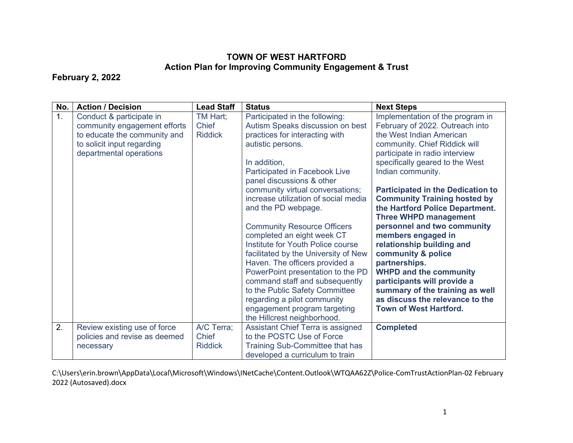## **TOWN OF WEST HARTFORD Action Plan for Improving Community Engagement & Trust**

## **February 2, 2022**

| No. | <b>Action / Decision</b>                                                                                                                          | <b>Lead Staff</b>                     | <b>Status</b>                                                                                                                                                                                                                                                                                                                                                                                                                                                                                                                                                                                                                                                                                        | <b>Next Steps</b>                                                                                                                                                                                                                                                                                                                                                                                                                                                                                                                                                                                                                                                                |
|-----|---------------------------------------------------------------------------------------------------------------------------------------------------|---------------------------------------|------------------------------------------------------------------------------------------------------------------------------------------------------------------------------------------------------------------------------------------------------------------------------------------------------------------------------------------------------------------------------------------------------------------------------------------------------------------------------------------------------------------------------------------------------------------------------------------------------------------------------------------------------------------------------------------------------|----------------------------------------------------------------------------------------------------------------------------------------------------------------------------------------------------------------------------------------------------------------------------------------------------------------------------------------------------------------------------------------------------------------------------------------------------------------------------------------------------------------------------------------------------------------------------------------------------------------------------------------------------------------------------------|
| 1.  | Conduct & participate in<br>community engagement efforts<br>to educate the community and<br>to solicit input regarding<br>departmental operations | TM Hart;<br>Chief<br><b>Riddick</b>   | Participated in the following:<br>Autism Speaks discussion on best<br>practices for interacting with<br>autistic persons.<br>In addition,<br>Participated in Facebook Live<br>panel discussions & other<br>community virtual conversations;<br>increase utilization of social media<br>and the PD webpage.<br><b>Community Resource Officers</b><br>completed an eight week CT<br>Institute for Youth Police course<br>facilitated by the University of New<br>Haven. The officers provided a<br>PowerPoint presentation to the PD<br>command staff and subsequently<br>to the Public Safety Committee<br>regarding a pilot community<br>engagement program targeting<br>the Hillcrest neighborhood. | Implementation of the program in<br>February of 2022. Outreach into<br>the West Indian American<br>community. Chief Riddick will<br>participate in radio interview<br>specifically geared to the West<br>Indian community.<br><b>Participated in the Dedication to</b><br><b>Community Training hosted by</b><br>the Hartford Police Department.<br><b>Three WHPD management</b><br>personnel and two community<br>members engaged in<br>relationship building and<br>community & police<br>partnerships.<br><b>WHPD and the community</b><br>participants will provide a<br>summary of the training as well<br>as discuss the relevance to the<br><b>Town of West Hartford.</b> |
| 2.  | Review existing use of force<br>policies and revise as deemed<br>necessary                                                                        | A/C Terra;<br>Chief<br><b>Riddick</b> | Assistant Chief Terra is assigned<br>to the POSTC Use of Force<br>Training Sub-Committee that has<br>developed a curriculum to train                                                                                                                                                                                                                                                                                                                                                                                                                                                                                                                                                                 | <b>Completed</b>                                                                                                                                                                                                                                                                                                                                                                                                                                                                                                                                                                                                                                                                 |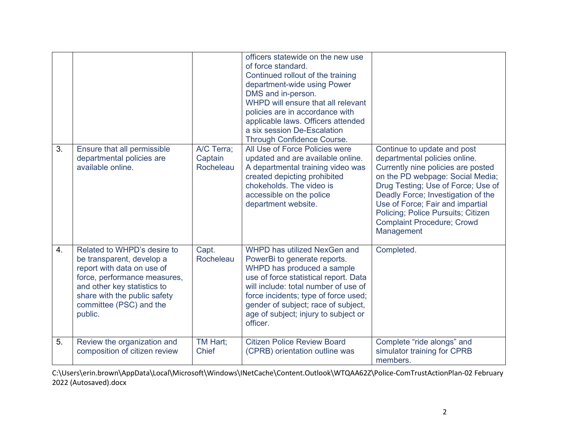| 3. | Ensure that all permissible<br>departmental policies are<br>available online.                                                                                                                                               | A/C Terra;<br>Captain<br>Rocheleau | officers statewide on the new use<br>of force standard.<br>Continued rollout of the training<br>department-wide using Power<br>DMS and in-person.<br>WHPD will ensure that all relevant<br>policies are in accordance with<br>applicable laws. Officers attended<br>a six session De-Escalation<br>Through Confidence Course.<br>All Use of Force Policies were<br>updated and are available online.<br>A departmental training video was<br>created depicting prohibited<br>chokeholds. The video is<br>accessible on the police<br>department website. | Continue to update and post<br>departmental policies online.<br>Currently nine policies are posted<br>on the PD webpage: Social Media;<br>Drug Testing; Use of Force; Use of<br>Deadly Force; Investigation of the<br>Use of Force; Fair and impartial<br>Policing; Police Pursuits; Citizen<br><b>Complaint Procedure; Crowd</b><br>Management |
|----|-----------------------------------------------------------------------------------------------------------------------------------------------------------------------------------------------------------------------------|------------------------------------|----------------------------------------------------------------------------------------------------------------------------------------------------------------------------------------------------------------------------------------------------------------------------------------------------------------------------------------------------------------------------------------------------------------------------------------------------------------------------------------------------------------------------------------------------------|-------------------------------------------------------------------------------------------------------------------------------------------------------------------------------------------------------------------------------------------------------------------------------------------------------------------------------------------------|
| 4. | Related to WHPD's desire to<br>be transparent, develop a<br>report with data on use of<br>force, performance measures,<br>and other key statistics to<br>share with the public safety<br>committee (PSC) and the<br>public. | Capt.<br>Rocheleau                 | WHPD has utilized NexGen and<br>PowerBi to generate reports.<br>WHPD has produced a sample<br>use of force statistical report. Data<br>will include: total number of use of<br>force incidents; type of force used;<br>gender of subject; race of subject,<br>age of subject; injury to subject or<br>officer.                                                                                                                                                                                                                                           | Completed.                                                                                                                                                                                                                                                                                                                                      |
| 5. | Review the organization and<br>composition of citizen review                                                                                                                                                                | TM Hart;<br><b>Chief</b>           | <b>Citizen Police Review Board</b><br>(CPRB) orientation outline was                                                                                                                                                                                                                                                                                                                                                                                                                                                                                     | Complete "ride alongs" and<br>simulator training for CPRB<br>members.                                                                                                                                                                                                                                                                           |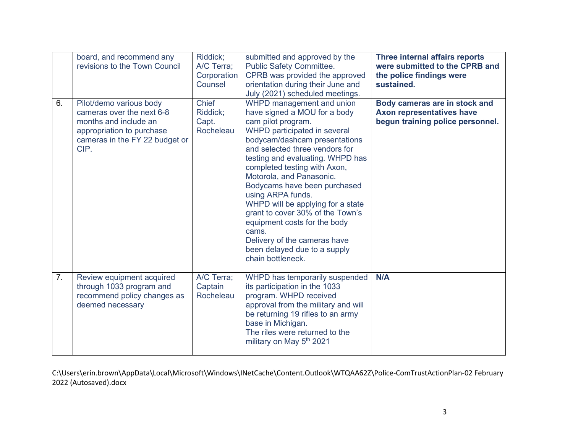|                | board, and recommend any<br>revisions to the Town Council                                                                                            | Riddick;<br>A/C Terra:<br>Corporation<br>Counsel | submitted and approved by the<br><b>Public Safety Committee.</b><br>CPRB was provided the approved<br>orientation during their June and<br>July (2021) scheduled meetings.                                                                                                                                                                                                                                                                                                                                                                     | Three internal affairs reports<br>were submitted to the CPRB and<br>the police findings were<br>sustained. |
|----------------|------------------------------------------------------------------------------------------------------------------------------------------------------|--------------------------------------------------|------------------------------------------------------------------------------------------------------------------------------------------------------------------------------------------------------------------------------------------------------------------------------------------------------------------------------------------------------------------------------------------------------------------------------------------------------------------------------------------------------------------------------------------------|------------------------------------------------------------------------------------------------------------|
| 6.             | Pilot/demo various body<br>cameras over the next 6-8<br>months and include an<br>appropriation to purchase<br>cameras in the FY 22 budget or<br>CIP. | <b>Chief</b><br>Riddick:<br>Capt.<br>Rocheleau   | WHPD management and union<br>have signed a MOU for a body<br>cam pilot program.<br>WHPD participated in several<br>bodycam/dashcam presentations<br>and selected three vendors for<br>testing and evaluating. WHPD has<br>completed testing with Axon,<br>Motorola, and Panasonic.<br>Bodycams have been purchased<br>using ARPA funds.<br>WHPD will be applying for a state<br>grant to cover 30% of the Town's<br>equipment costs for the body<br>cams.<br>Delivery of the cameras have<br>been delayed due to a supply<br>chain bottleneck. | Body cameras are in stock and<br>Axon representatives have<br>begun training police personnel.             |
| 7 <sub>1</sub> | Review equipment acquired<br>through 1033 program and<br>recommend policy changes as<br>deemed necessary                                             | A/C Terra;<br>Captain<br>Rocheleau               | WHPD has temporarily suspended<br>its participation in the 1033<br>program. WHPD received<br>approval from the military and will<br>be returning 19 rifles to an army<br>base in Michigan.<br>The riles were returned to the<br>military on May 5 <sup>th</sup> 2021                                                                                                                                                                                                                                                                           | N/A                                                                                                        |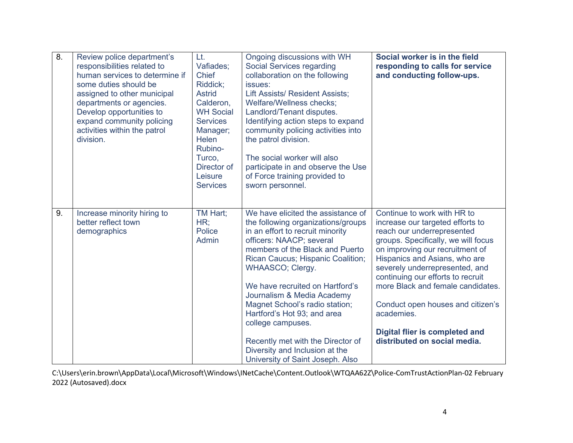| $\overline{8}$ . | Review police department's<br>responsibilities related to<br>human services to determine if<br>some duties should be<br>assigned to other municipal<br>departments or agencies.<br>Develop opportunities to<br>expand community policing<br>activities within the patrol<br>division. | Lt.<br>Vafiades;<br><b>Chief</b><br>Riddick;<br><b>Astrid</b><br>Calderon,<br><b>WH Social</b><br><b>Services</b><br>Manager;<br><b>Helen</b><br>Rubino-<br>Turco,<br>Director of<br>Leisure<br><b>Services</b> | Ongoing discussions with WH<br><b>Social Services regarding</b><br>collaboration on the following<br>issues:<br><b>Lift Assists/ Resident Assists;</b><br>Welfare/Wellness checks;<br>Landlord/Tenant disputes.<br>Identifying action steps to expand<br>community policing activities into<br>the patrol division.<br>The social worker will also<br>participate in and observe the Use<br>of Force training provided to<br>sworn personnel.                                                                 | Social worker is in the field<br>responding to calls for service<br>and conducting follow-ups.                                                                                                                                                                                                                                                                                                                                                   |
|------------------|---------------------------------------------------------------------------------------------------------------------------------------------------------------------------------------------------------------------------------------------------------------------------------------|-----------------------------------------------------------------------------------------------------------------------------------------------------------------------------------------------------------------|---------------------------------------------------------------------------------------------------------------------------------------------------------------------------------------------------------------------------------------------------------------------------------------------------------------------------------------------------------------------------------------------------------------------------------------------------------------------------------------------------------------|--------------------------------------------------------------------------------------------------------------------------------------------------------------------------------------------------------------------------------------------------------------------------------------------------------------------------------------------------------------------------------------------------------------------------------------------------|
| 9.               | Increase minority hiring to<br>better reflect town<br>demographics                                                                                                                                                                                                                    | TM Hart;<br>HR;<br>Police<br>Admin                                                                                                                                                                              | We have elicited the assistance of<br>the following organizations/groups<br>in an effort to recruit minority<br>officers: NAACP; several<br>members of the Black and Puerto<br>Rican Caucus; Hispanic Coalition;<br><b>WHAASCO; Clergy.</b><br>We have recruited on Hartford's<br>Journalism & Media Academy<br>Magnet School's radio station;<br>Hartford's Hot 93; and area<br>college campuses.<br>Recently met with the Director of<br>Diversity and Inclusion at the<br>University of Saint Joseph. Also | Continue to work with HR to<br>increase our targeted efforts to<br>reach our underrepresented<br>groups. Specifically, we will focus<br>on improving our recruitment of<br>Hispanics and Asians, who are<br>severely underrepresented, and<br>continuing our efforts to recruit<br>more Black and female candidates.<br>Conduct open houses and citizen's<br>academies.<br><b>Digital flier is completed and</b><br>distributed on social media. |